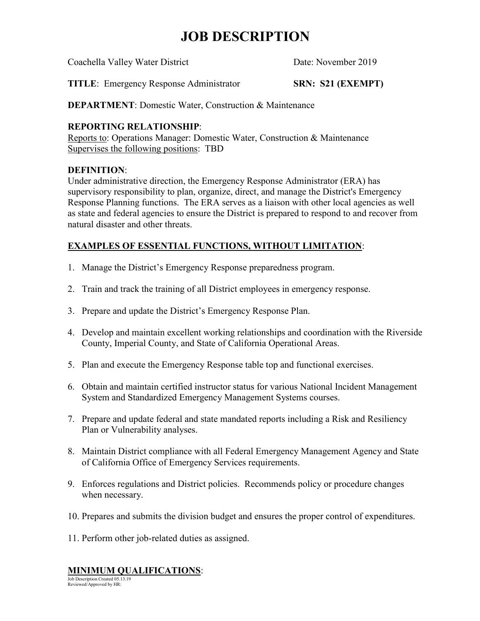# **JOB DESCRIPTION**

Coachella Valley Water District Date: November 2019

**TITLE**: Emergency Response Administrator **SRN: S21 (EXEMPT)**

**DEPARTMENT:** Domestic Water, Construction & Maintenance

## **REPORTING RELATIONSHIP**:

Reports to: Operations Manager: Domestic Water, Construction & Maintenance Supervises the following positions: TBD

### **DEFINITION**:

Under administrative direction, the Emergency Response Administrator (ERA) has supervisory responsibility to plan, organize, direct, and manage the District's Emergency Response Planning functions. The ERA serves as a liaison with other local agencies as well as state and federal agencies to ensure the District is prepared to respond to and recover from natural disaster and other threats.

## **EXAMPLES OF ESSENTIAL FUNCTIONS, WITHOUT LIMITATION**:

- 1. Manage the District's Emergency Response preparedness program.
- 2. Train and track the training of all District employees in emergency response.
- 3. Prepare and update the District's Emergency Response Plan.
- 4. Develop and maintain excellent working relationships and coordination with the Riverside County, Imperial County, and State of California Operational Areas.
- 5. Plan and execute the Emergency Response table top and functional exercises.
- 6. Obtain and maintain certified instructor status for various National Incident Management System and Standardized Emergency Management Systems courses.
- 7. Prepare and update federal and state mandated reports including a Risk and Resiliency Plan or Vulnerability analyses.
- 8. Maintain District compliance with all Federal Emergency Management Agency and State of California Office of Emergency Services requirements.
- 9. Enforces regulations and District policies. Recommends policy or procedure changes when necessary.
- 10. Prepares and submits the division budget and ensures the proper control of expenditures.
- 11. Perform other job-related duties as assigned.

## **MINIMUM QUALIFICATIONS**:

Job Description Created 05.13.19 Reviewed/Approved by HR: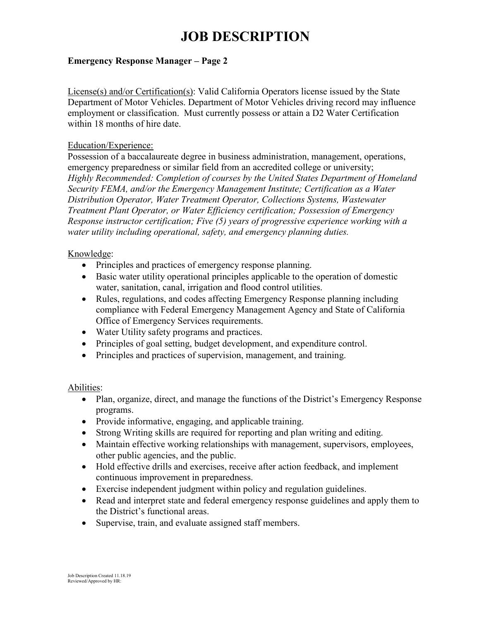# **JOB DESCRIPTION**

#### **Emergency Response Manager – Page 2**

License(s) and/or Certification(s): Valid California Operators license issued by the State Department of Motor Vehicles. Department of Motor Vehicles driving record may influence employment or classification. Must currently possess or attain a D2 Water Certification within 18 months of hire date.

#### Education/Experience:

Possession of a baccalaureate degree in business administration, management, operations, emergency preparedness or similar field from an accredited college or university; *Highly Recommended: Completion of courses by the United States Department of Homeland Security FEMA, and/or the Emergency Management Institute; Certification as a Water Distribution Operator, Water Treatment Operator, Collections Systems, Wastewater Treatment Plant Operator, or Water Efficiency certification; Possession of Emergency Response instructor certification; Five (5) years of progressive experience working with a water utility including operational, safety, and emergency planning duties.*

#### Knowledge:

- Principles and practices of emergency response planning.
- Basic water utility operational principles applicable to the operation of domestic water, sanitation, canal, irrigation and flood control utilities.
- Rules, regulations, and codes affecting Emergency Response planning including compliance with Federal Emergency Management Agency and State of California Office of Emergency Services requirements.
- Water Utility safety programs and practices.
- Principles of goal setting, budget development, and expenditure control.
- Principles and practices of supervision, management, and training.

#### Abilities:

- Plan, organize, direct, and manage the functions of the District's Emergency Response programs.
- Provide informative, engaging, and applicable training.
- Strong Writing skills are required for reporting and plan writing and editing.
- Maintain effective working relationships with management, supervisors, employees, other public agencies, and the public.
- Hold effective drills and exercises, receive after action feedback, and implement continuous improvement in preparedness.
- Exercise independent judgment within policy and regulation guidelines.
- Read and interpret state and federal emergency response guidelines and apply them to the District's functional areas.
- Supervise, train, and evaluate assigned staff members.